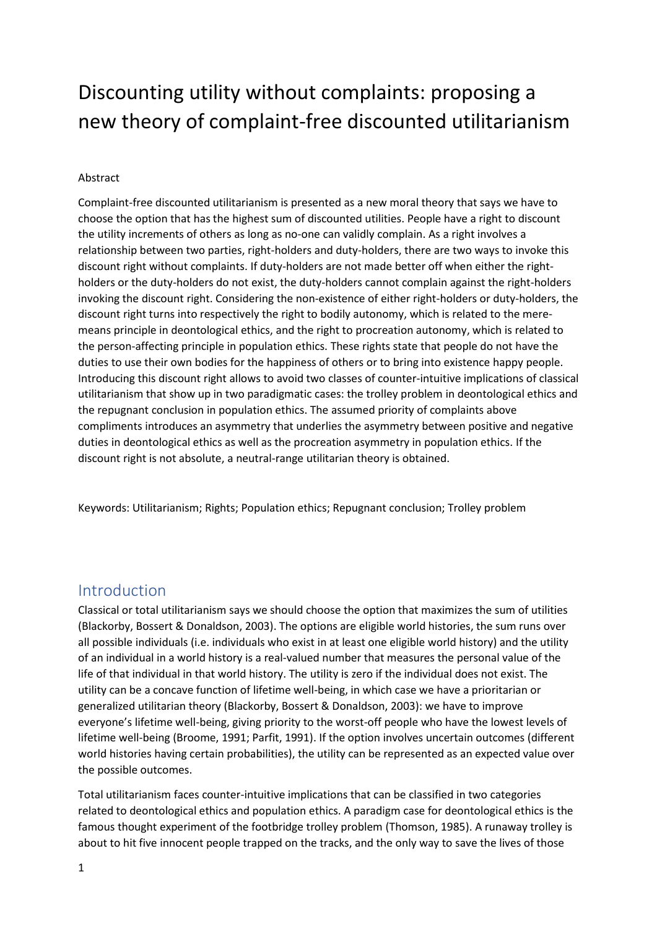# Discounting utility without complaints: proposing a new theory of complaint-free discounted utilitarianism

#### Abstract

Complaint-free discounted utilitarianism is presented as a new moral theory that says we have to choose the option that has the highest sum of discounted utilities. People have a right to discount the utility increments of others as long as no-one can validly complain. As a right involves a relationship between two parties, right-holders and duty-holders, there are two ways to invoke this discount right without complaints. If duty-holders are not made better off when either the rightholders or the duty-holders do not exist, the duty-holders cannot complain against the right-holders invoking the discount right. Considering the non-existence of either right-holders or duty-holders, the discount right turns into respectively the right to bodily autonomy, which is related to the meremeans principle in deontological ethics, and the right to procreation autonomy, which is related to the person-affecting principle in population ethics. These rights state that people do not have the duties to use their own bodies for the happiness of others or to bring into existence happy people. Introducing this discount right allows to avoid two classes of counter-intuitive implications of classical utilitarianism that show up in two paradigmatic cases: the trolley problem in deontological ethics and the repugnant conclusion in population ethics. The assumed priority of complaints above compliments introduces an asymmetry that underlies the asymmetry between positive and negative duties in deontological ethics as well as the procreation asymmetry in population ethics. If the discount right is not absolute, a neutral-range utilitarian theory is obtained.

Keywords: Utilitarianism; Rights; Population ethics; Repugnant conclusion; Trolley problem

#### Introduction

Classical or total utilitarianism says we should choose the option that maximizes the sum of utilities (Blackorby, Bossert & Donaldson, 2003). The options are eligible world histories, the sum runs over all possible individuals (i.e. individuals who exist in at least one eligible world history) and the utility of an individual in a world history is a real-valued number that measures the personal value of the life of that individual in that world history. The utility is zero if the individual does not exist. The utility can be a concave function of lifetime well-being, in which case we have a prioritarian or generalized utilitarian theory (Blackorby, Bossert & Donaldson, 2003): we have to improve everyone's lifetime well-being, giving priority to the worst-off people who have the lowest levels of lifetime well-being (Broome, 1991; Parfit, 1991). If the option involves uncertain outcomes (different world histories having certain probabilities), the utility can be represented as an expected value over the possible outcomes.

Total utilitarianism faces counter-intuitive implications that can be classified in two categories related to deontological ethics and population ethics. A paradigm case for deontological ethics is the famous thought experiment of the footbridge trolley problem (Thomson, 1985). A runaway trolley is about to hit five innocent people trapped on the tracks, and the only way to save the lives of those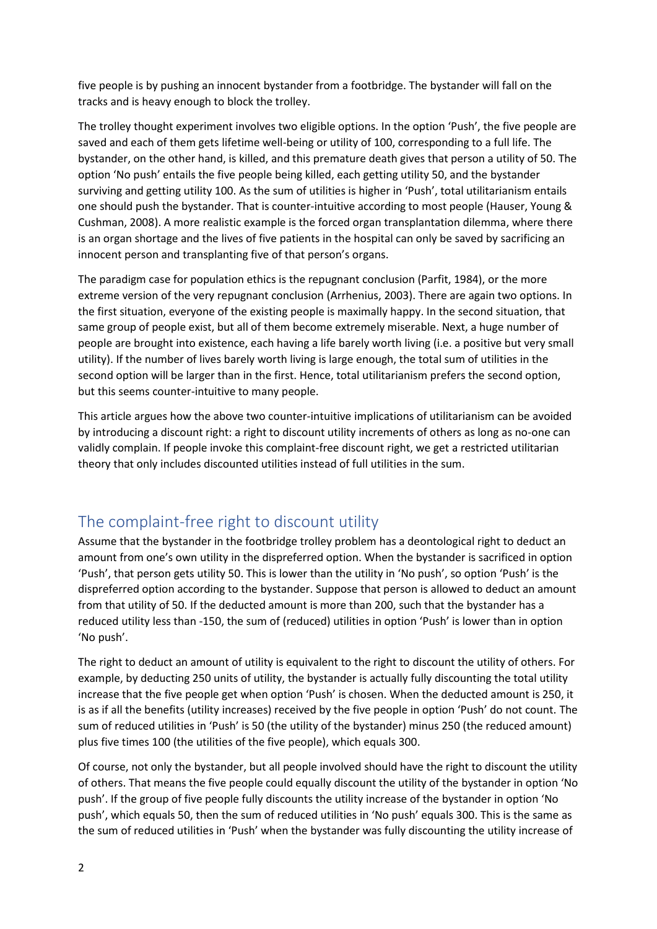five people is by pushing an innocent bystander from a footbridge. The bystander will fall on the tracks and is heavy enough to block the trolley.

The trolley thought experiment involves two eligible options. In the option 'Push', the five people are saved and each of them gets lifetime well-being or utility of 100, corresponding to a full life. The bystander, on the other hand, is killed, and this premature death gives that person a utility of 50. The option 'No push' entails the five people being killed, each getting utility 50, and the bystander surviving and getting utility 100. As the sum of utilities is higher in 'Push', total utilitarianism entails one should push the bystander. That is counter-intuitive according to most people (Hauser, Young & Cushman, 2008). A more realistic example is the forced organ transplantation dilemma, where there is an organ shortage and the lives of five patients in the hospital can only be saved by sacrificing an innocent person and transplanting five of that person's organs.

The paradigm case for population ethics is the repugnant conclusion (Parfit, 1984), or the more extreme version of the very repugnant conclusion (Arrhenius, 2003). There are again two options. In the first situation, everyone of the existing people is maximally happy. In the second situation, that same group of people exist, but all of them become extremely miserable. Next, a huge number of people are brought into existence, each having a life barely worth living (i.e. a positive but very small utility). If the number of lives barely worth living is large enough, the total sum of utilities in the second option will be larger than in the first. Hence, total utilitarianism prefers the second option, but this seems counter-intuitive to many people.

This article argues how the above two counter-intuitive implications of utilitarianism can be avoided by introducing a discount right: a right to discount utility increments of others as long as no-one can validly complain. If people invoke this complaint-free discount right, we get a restricted utilitarian theory that only includes discounted utilities instead of full utilities in the sum.

# The complaint-free right to discount utility

Assume that the bystander in the footbridge trolley problem has a deontological right to deduct an amount from one's own utility in the dispreferred option. When the bystander is sacrificed in option 'Push', that person gets utility 50. This is lower than the utility in 'No push', so option 'Push' is the dispreferred option according to the bystander. Suppose that person is allowed to deduct an amount from that utility of 50. If the deducted amount is more than 200, such that the bystander has a reduced utility less than -150, the sum of (reduced) utilities in option 'Push' is lower than in option 'No push'.

The right to deduct an amount of utility is equivalent to the right to discount the utility of others. For example, by deducting 250 units of utility, the bystander is actually fully discounting the total utility increase that the five people get when option 'Push' is chosen. When the deducted amount is 250, it is as if all the benefits (utility increases) received by the five people in option 'Push' do not count. The sum of reduced utilities in 'Push' is 50 (the utility of the bystander) minus 250 (the reduced amount) plus five times 100 (the utilities of the five people), which equals 300.

Of course, not only the bystander, but all people involved should have the right to discount the utility of others. That means the five people could equally discount the utility of the bystander in option 'No push'. If the group of five people fully discounts the utility increase of the bystander in option 'No push', which equals 50, then the sum of reduced utilities in 'No push' equals 300. This is the same as the sum of reduced utilities in 'Push' when the bystander was fully discounting the utility increase of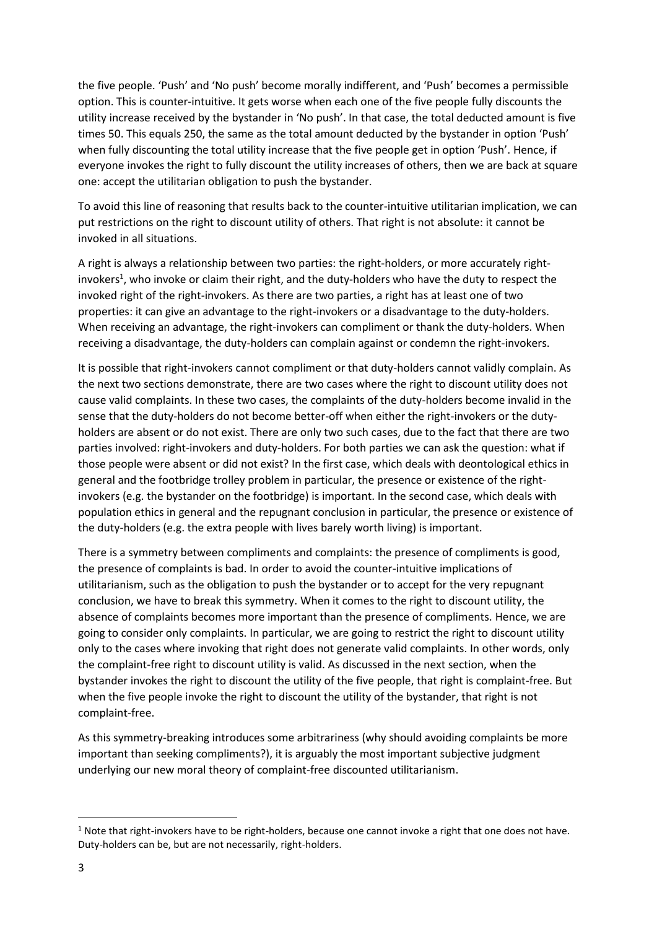the five people. 'Push' and 'No push' become morally indifferent, and 'Push' becomes a permissible option. This is counter-intuitive. It gets worse when each one of the five people fully discounts the utility increase received by the bystander in 'No push'. In that case, the total deducted amount is five times 50. This equals 250, the same as the total amount deducted by the bystander in option 'Push' when fully discounting the total utility increase that the five people get in option 'Push'. Hence, if everyone invokes the right to fully discount the utility increases of others, then we are back at square one: accept the utilitarian obligation to push the bystander.

To avoid this line of reasoning that results back to the counter-intuitive utilitarian implication, we can put restrictions on the right to discount utility of others. That right is not absolute: it cannot be invoked in all situations.

A right is always a relationship between two parties: the right-holders, or more accurately rightinvokers<sup>1</sup>, who invoke or claim their right, and the duty-holders who have the duty to respect the invoked right of the right-invokers. As there are two parties, a right has at least one of two properties: it can give an advantage to the right-invokers or a disadvantage to the duty-holders. When receiving an advantage, the right-invokers can compliment or thank the duty-holders. When receiving a disadvantage, the duty-holders can complain against or condemn the right-invokers.

It is possible that right-invokers cannot compliment or that duty-holders cannot validly complain. As the next two sections demonstrate, there are two cases where the right to discount utility does not cause valid complaints. In these two cases, the complaints of the duty-holders become invalid in the sense that the duty-holders do not become better-off when either the right-invokers or the dutyholders are absent or do not exist. There are only two such cases, due to the fact that there are two parties involved: right-invokers and duty-holders. For both parties we can ask the question: what if those people were absent or did not exist? In the first case, which deals with deontological ethics in general and the footbridge trolley problem in particular, the presence or existence of the rightinvokers (e.g. the bystander on the footbridge) is important. In the second case, which deals with population ethics in general and the repugnant conclusion in particular, the presence or existence of the duty-holders (e.g. the extra people with lives barely worth living) is important.

There is a symmetry between compliments and complaints: the presence of compliments is good, the presence of complaints is bad. In order to avoid the counter-intuitive implications of utilitarianism, such as the obligation to push the bystander or to accept for the very repugnant conclusion, we have to break this symmetry. When it comes to the right to discount utility, the absence of complaints becomes more important than the presence of compliments. Hence, we are going to consider only complaints. In particular, we are going to restrict the right to discount utility only to the cases where invoking that right does not generate valid complaints. In other words, only the complaint-free right to discount utility is valid. As discussed in the next section, when the bystander invokes the right to discount the utility of the five people, that right is complaint-free. But when the five people invoke the right to discount the utility of the bystander, that right is not complaint-free.

As this symmetry-breaking introduces some arbitrariness (why should avoiding complaints be more important than seeking compliments?), it is arguably the most important subjective judgment underlying our new moral theory of complaint-free discounted utilitarianism.

<sup>&</sup>lt;sup>1</sup> Note that right-invokers have to be right-holders, because one cannot invoke a right that one does not have. Duty-holders can be, but are not necessarily, right-holders.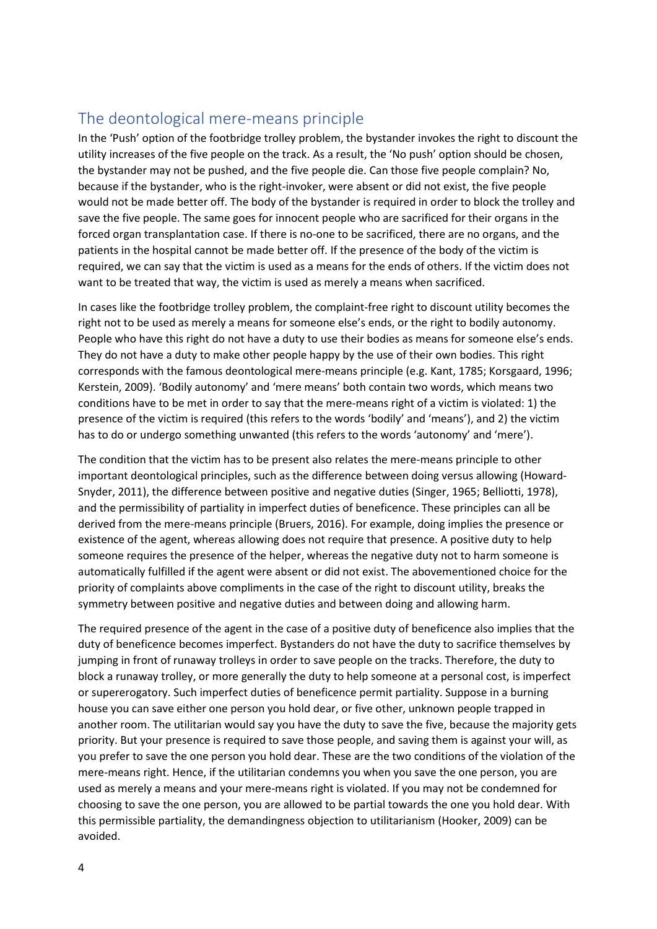### The deontological mere-means principle

In the 'Push' option of the footbridge trolley problem, the bystander invokes the right to discount the utility increases of the five people on the track. As a result, the 'No push' option should be chosen, the bystander may not be pushed, and the five people die. Can those five people complain? No, because if the bystander, who is the right-invoker, were absent or did not exist, the five people would not be made better off. The body of the bystander is required in order to block the trolley and save the five people. The same goes for innocent people who are sacrificed for their organs in the forced organ transplantation case. If there is no-one to be sacrificed, there are no organs, and the patients in the hospital cannot be made better off. If the presence of the body of the victim is required, we can say that the victim is used as a means for the ends of others. If the victim does not want to be treated that way, the victim is used as merely a means when sacrificed.

In cases like the footbridge trolley problem, the complaint-free right to discount utility becomes the right not to be used as merely a means for someone else's ends, or the right to bodily autonomy. People who have this right do not have a duty to use their bodies as means for someone else's ends. They do not have a duty to make other people happy by the use of their own bodies. This right corresponds with the famous deontological mere-means principle (e.g. Kant, 1785; Korsgaard, 1996; Kerstein, 2009). 'Bodily autonomy' and 'mere means' both contain two words, which means two conditions have to be met in order to say that the mere-means right of a victim is violated: 1) the presence of the victim is required (this refers to the words 'bodily' and 'means'), and 2) the victim has to do or undergo something unwanted (this refers to the words 'autonomy' and 'mere').

The condition that the victim has to be present also relates the mere-means principle to other important deontological principles, such as the difference between doing versus allowing (Howard-Snyder, 2011), the difference between positive and negative duties (Singer, 1965; Belliotti, 1978), and the permissibility of partiality in imperfect duties of beneficence. These principles can all be derived from the mere-means principle (Bruers, 2016). For example, doing implies the presence or existence of the agent, whereas allowing does not require that presence. A positive duty to help someone requires the presence of the helper, whereas the negative duty not to harm someone is automatically fulfilled if the agent were absent or did not exist. The abovementioned choice for the priority of complaints above compliments in the case of the right to discount utility, breaks the symmetry between positive and negative duties and between doing and allowing harm.

The required presence of the agent in the case of a positive duty of beneficence also implies that the duty of beneficence becomes imperfect. Bystanders do not have the duty to sacrifice themselves by jumping in front of runaway trolleys in order to save people on the tracks. Therefore, the duty to block a runaway trolley, or more generally the duty to help someone at a personal cost, is imperfect or supererogatory. Such imperfect duties of beneficence permit partiality. Suppose in a burning house you can save either one person you hold dear, or five other, unknown people trapped in another room. The utilitarian would say you have the duty to save the five, because the majority gets priority. But your presence is required to save those people, and saving them is against your will, as you prefer to save the one person you hold dear. These are the two conditions of the violation of the mere-means right. Hence, if the utilitarian condemns you when you save the one person, you are used as merely a means and your mere-means right is violated. If you may not be condemned for choosing to save the one person, you are allowed to be partial towards the one you hold dear. With this permissible partiality, the demandingness objection to utilitarianism (Hooker, 2009) can be avoided.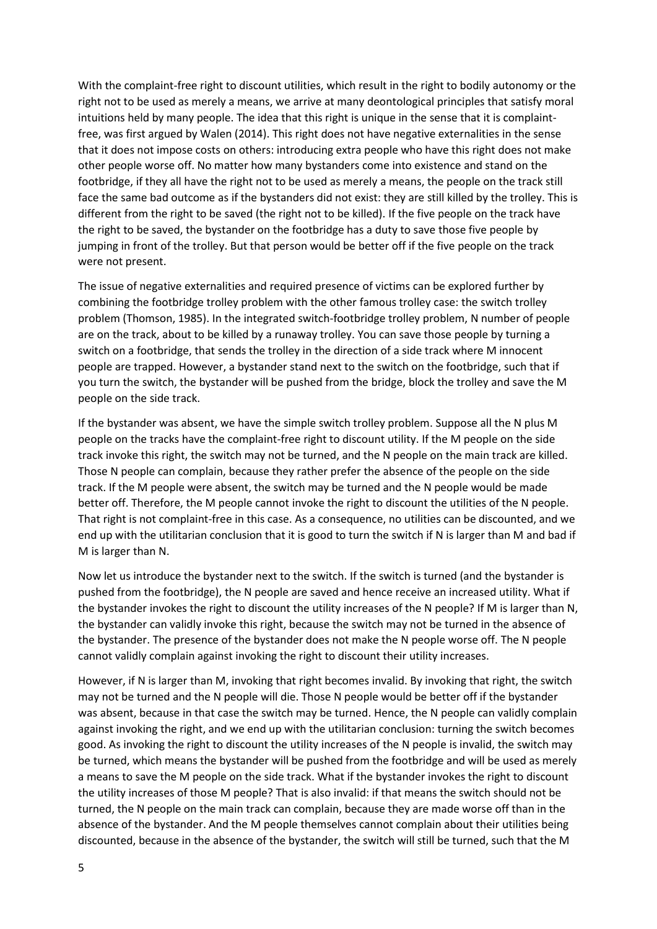With the complaint-free right to discount utilities, which result in the right to bodily autonomy or the right not to be used as merely a means, we arrive at many deontological principles that satisfy moral intuitions held by many people. The idea that this right is unique in the sense that it is complaintfree, was first argued by Walen (2014). This right does not have negative externalities in the sense that it does not impose costs on others: introducing extra people who have this right does not make other people worse off. No matter how many bystanders come into existence and stand on the footbridge, if they all have the right not to be used as merely a means, the people on the track still face the same bad outcome as if the bystanders did not exist: they are still killed by the trolley. This is different from the right to be saved (the right not to be killed). If the five people on the track have the right to be saved, the bystander on the footbridge has a duty to save those five people by jumping in front of the trolley. But that person would be better off if the five people on the track were not present.

The issue of negative externalities and required presence of victims can be explored further by combining the footbridge trolley problem with the other famous trolley case: the switch trolley problem (Thomson, 1985). In the integrated switch-footbridge trolley problem, N number of people are on the track, about to be killed by a runaway trolley. You can save those people by turning a switch on a footbridge, that sends the trolley in the direction of a side track where M innocent people are trapped. However, a bystander stand next to the switch on the footbridge, such that if you turn the switch, the bystander will be pushed from the bridge, block the trolley and save the M people on the side track.

If the bystander was absent, we have the simple switch trolley problem. Suppose all the N plus M people on the tracks have the complaint-free right to discount utility. If the M people on the side track invoke this right, the switch may not be turned, and the N people on the main track are killed. Those N people can complain, because they rather prefer the absence of the people on the side track. If the M people were absent, the switch may be turned and the N people would be made better off. Therefore, the M people cannot invoke the right to discount the utilities of the N people. That right is not complaint-free in this case. As a consequence, no utilities can be discounted, and we end up with the utilitarian conclusion that it is good to turn the switch if N is larger than M and bad if M is larger than N.

Now let us introduce the bystander next to the switch. If the switch is turned (and the bystander is pushed from the footbridge), the N people are saved and hence receive an increased utility. What if the bystander invokes the right to discount the utility increases of the N people? If M is larger than N, the bystander can validly invoke this right, because the switch may not be turned in the absence of the bystander. The presence of the bystander does not make the N people worse off. The N people cannot validly complain against invoking the right to discount their utility increases.

However, if N is larger than M, invoking that right becomes invalid. By invoking that right, the switch may not be turned and the N people will die. Those N people would be better off if the bystander was absent, because in that case the switch may be turned. Hence, the N people can validly complain against invoking the right, and we end up with the utilitarian conclusion: turning the switch becomes good. As invoking the right to discount the utility increases of the N people is invalid, the switch may be turned, which means the bystander will be pushed from the footbridge and will be used as merely a means to save the M people on the side track. What if the bystander invokes the right to discount the utility increases of those M people? That is also invalid: if that means the switch should not be turned, the N people on the main track can complain, because they are made worse off than in the absence of the bystander. And the M people themselves cannot complain about their utilities being discounted, because in the absence of the bystander, the switch will still be turned, such that the M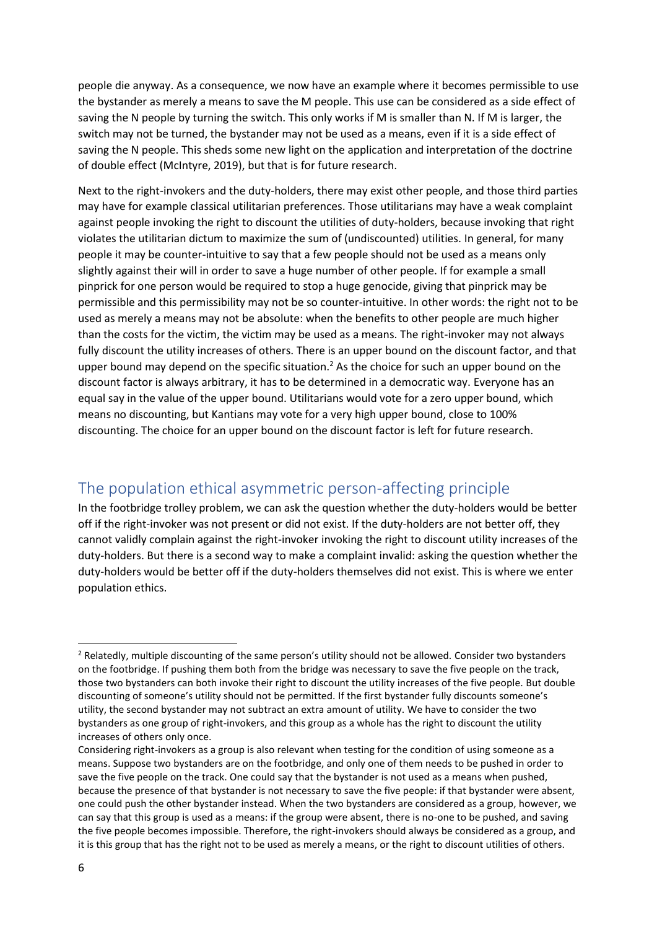people die anyway. As a consequence, we now have an example where it becomes permissible to use the bystander as merely a means to save the M people. This use can be considered as a side effect of saving the N people by turning the switch. This only works if M is smaller than N. If M is larger, the switch may not be turned, the bystander may not be used as a means, even if it is a side effect of saving the N people. This sheds some new light on the application and interpretation of the doctrine of double effect (McIntyre, 2019), but that is for future research.

Next to the right-invokers and the duty-holders, there may exist other people, and those third parties may have for example classical utilitarian preferences. Those utilitarians may have a weak complaint against people invoking the right to discount the utilities of duty-holders, because invoking that right violates the utilitarian dictum to maximize the sum of (undiscounted) utilities. In general, for many people it may be counter-intuitive to say that a few people should not be used as a means only slightly against their will in order to save a huge number of other people. If for example a small pinprick for one person would be required to stop a huge genocide, giving that pinprick may be permissible and this permissibility may not be so counter-intuitive. In other words: the right not to be used as merely a means may not be absolute: when the benefits to other people are much higher than the costs for the victim, the victim may be used as a means. The right-invoker may not always fully discount the utility increases of others. There is an upper bound on the discount factor, and that upper bound may depend on the specific situation.<sup>2</sup> As the choice for such an upper bound on the discount factor is always arbitrary, it has to be determined in a democratic way. Everyone has an equal say in the value of the upper bound. Utilitarians would vote for a zero upper bound, which means no discounting, but Kantians may vote for a very high upper bound, close to 100% discounting. The choice for an upper bound on the discount factor is left for future research.

# The population ethical asymmetric person-affecting principle

In the footbridge trolley problem, we can ask the question whether the duty-holders would be better off if the right-invoker was not present or did not exist. If the duty-holders are not better off, they cannot validly complain against the right-invoker invoking the right to discount utility increases of the duty-holders. But there is a second way to make a complaint invalid: asking the question whether the duty-holders would be better off if the duty-holders themselves did not exist. This is where we enter population ethics.

<sup>&</sup>lt;sup>2</sup> Relatedly, multiple discounting of the same person's utility should not be allowed. Consider two bystanders on the footbridge. If pushing them both from the bridge was necessary to save the five people on the track, those two bystanders can both invoke their right to discount the utility increases of the five people. But double discounting of someone's utility should not be permitted. If the first bystander fully discounts someone's utility, the second bystander may not subtract an extra amount of utility. We have to consider the two bystanders as one group of right-invokers, and this group as a whole has the right to discount the utility increases of others only once.

Considering right-invokers as a group is also relevant when testing for the condition of using someone as a means. Suppose two bystanders are on the footbridge, and only one of them needs to be pushed in order to save the five people on the track. One could say that the bystander is not used as a means when pushed, because the presence of that bystander is not necessary to save the five people: if that bystander were absent, one could push the other bystander instead. When the two bystanders are considered as a group, however, we can say that this group is used as a means: if the group were absent, there is no-one to be pushed, and saving the five people becomes impossible. Therefore, the right-invokers should always be considered as a group, and it is this group that has the right not to be used as merely a means, or the right to discount utilities of others.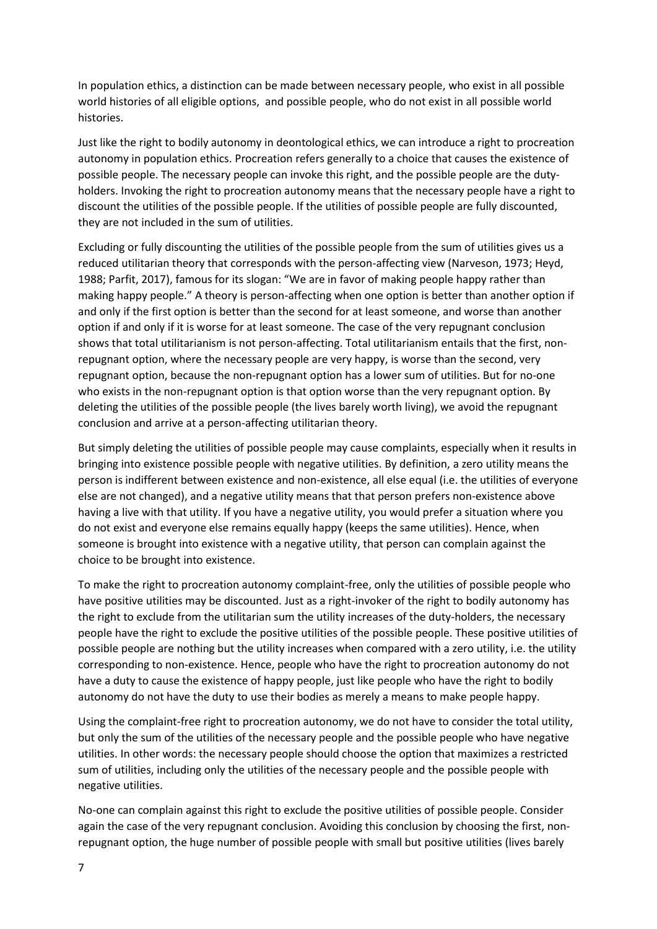In population ethics, a distinction can be made between necessary people, who exist in all possible world histories of all eligible options, and possible people, who do not exist in all possible world histories.

Just like the right to bodily autonomy in deontological ethics, we can introduce a right to procreation autonomy in population ethics. Procreation refers generally to a choice that causes the existence of possible people. The necessary people can invoke this right, and the possible people are the dutyholders. Invoking the right to procreation autonomy means that the necessary people have a right to discount the utilities of the possible people. If the utilities of possible people are fully discounted, they are not included in the sum of utilities.

Excluding or fully discounting the utilities of the possible people from the sum of utilities gives us a reduced utilitarian theory that corresponds with the person-affecting view (Narveson, 1973; Heyd, 1988; Parfit, 2017), famous for its slogan: "We are in favor of making people happy rather than making happy people." A theory is person-affecting when one option is better than another option if and only if the first option is better than the second for at least someone, and worse than another option if and only if it is worse for at least someone. The case of the very repugnant conclusion shows that total utilitarianism is not person-affecting. Total utilitarianism entails that the first, nonrepugnant option, where the necessary people are very happy, is worse than the second, very repugnant option, because the non-repugnant option has a lower sum of utilities. But for no-one who exists in the non-repugnant option is that option worse than the very repugnant option. By deleting the utilities of the possible people (the lives barely worth living), we avoid the repugnant conclusion and arrive at a person-affecting utilitarian theory.

But simply deleting the utilities of possible people may cause complaints, especially when it results in bringing into existence possible people with negative utilities. By definition, a zero utility means the person is indifferent between existence and non-existence, all else equal (i.e. the utilities of everyone else are not changed), and a negative utility means that that person prefers non-existence above having a live with that utility. If you have a negative utility, you would prefer a situation where you do not exist and everyone else remains equally happy (keeps the same utilities). Hence, when someone is brought into existence with a negative utility, that person can complain against the choice to be brought into existence.

To make the right to procreation autonomy complaint-free, only the utilities of possible people who have positive utilities may be discounted. Just as a right-invoker of the right to bodily autonomy has the right to exclude from the utilitarian sum the utility increases of the duty-holders, the necessary people have the right to exclude the positive utilities of the possible people. These positive utilities of possible people are nothing but the utility increases when compared with a zero utility, i.e. the utility corresponding to non-existence. Hence, people who have the right to procreation autonomy do not have a duty to cause the existence of happy people, just like people who have the right to bodily autonomy do not have the duty to use their bodies as merely a means to make people happy.

Using the complaint-free right to procreation autonomy, we do not have to consider the total utility, but only the sum of the utilities of the necessary people and the possible people who have negative utilities. In other words: the necessary people should choose the option that maximizes a restricted sum of utilities, including only the utilities of the necessary people and the possible people with negative utilities.

No-one can complain against this right to exclude the positive utilities of possible people. Consider again the case of the very repugnant conclusion. Avoiding this conclusion by choosing the first, nonrepugnant option, the huge number of possible people with small but positive utilities (lives barely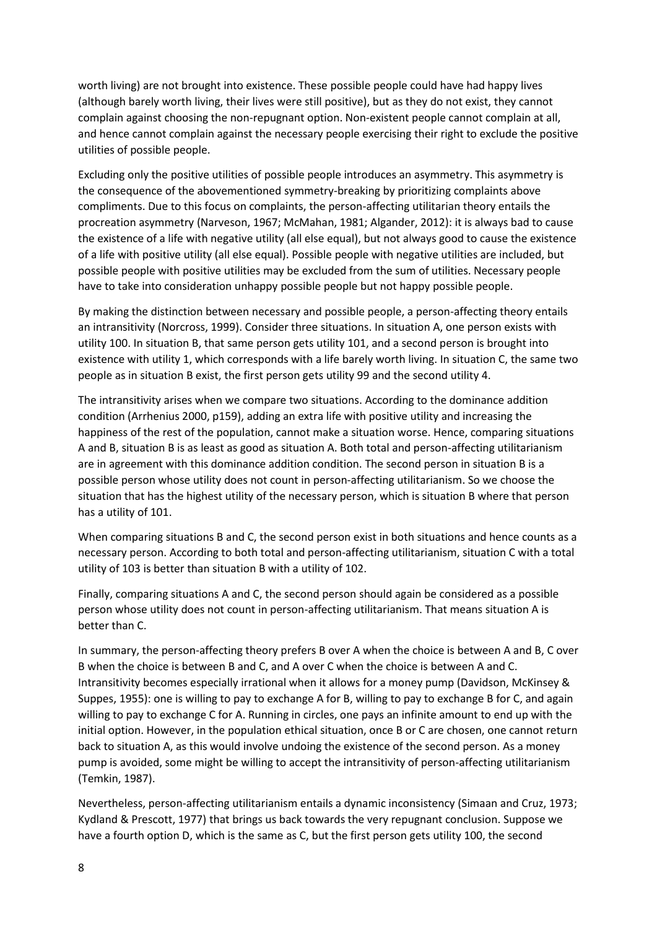worth living) are not brought into existence. These possible people could have had happy lives (although barely worth living, their lives were still positive), but as they do not exist, they cannot complain against choosing the non-repugnant option. Non-existent people cannot complain at all, and hence cannot complain against the necessary people exercising their right to exclude the positive utilities of possible people.

Excluding only the positive utilities of possible people introduces an asymmetry. This asymmetry is the consequence of the abovementioned symmetry-breaking by prioritizing complaints above compliments. Due to this focus on complaints, the person-affecting utilitarian theory entails the procreation asymmetry (Narveson, 1967; McMahan, 1981; Algander, 2012): it is always bad to cause the existence of a life with negative utility (all else equal), but not always good to cause the existence of a life with positive utility (all else equal). Possible people with negative utilities are included, but possible people with positive utilities may be excluded from the sum of utilities. Necessary people have to take into consideration unhappy possible people but not happy possible people.

By making the distinction between necessary and possible people, a person-affecting theory entails an intransitivity (Norcross, 1999). Consider three situations. In situation A, one person exists with utility 100. In situation B, that same person gets utility 101, and a second person is brought into existence with utility 1, which corresponds with a life barely worth living. In situation C, the same two people as in situation B exist, the first person gets utility 99 and the second utility 4.

The intransitivity arises when we compare two situations. According to the dominance addition condition (Arrhenius 2000, p159), adding an extra life with positive utility and increasing the happiness of the rest of the population, cannot make a situation worse. Hence, comparing situations A and B, situation B is as least as good as situation A. Both total and person-affecting utilitarianism are in agreement with this dominance addition condition. The second person in situation B is a possible person whose utility does not count in person-affecting utilitarianism. So we choose the situation that has the highest utility of the necessary person, which is situation B where that person has a utility of 101.

When comparing situations B and C, the second person exist in both situations and hence counts as a necessary person. According to both total and person-affecting utilitarianism, situation C with a total utility of 103 is better than situation B with a utility of 102.

Finally, comparing situations A and C, the second person should again be considered as a possible person whose utility does not count in person-affecting utilitarianism. That means situation A is better than C.

In summary, the person-affecting theory prefers B over A when the choice is between A and B, C over B when the choice is between B and C, and A over C when the choice is between A and C. Intransitivity becomes especially irrational when it allows for a money pump (Davidson, McKinsey & Suppes, 1955): one is willing to pay to exchange A for B, willing to pay to exchange B for C, and again willing to pay to exchange C for A. Running in circles, one pays an infinite amount to end up with the initial option. However, in the population ethical situation, once B or C are chosen, one cannot return back to situation A, as this would involve undoing the existence of the second person. As a money pump is avoided, some might be willing to accept the intransitivity of person-affecting utilitarianism (Temkin, 1987).

Nevertheless, person-affecting utilitarianism entails a dynamic inconsistency (Simaan and Cruz, 1973; Kydland & Prescott, 1977) that brings us back towards the very repugnant conclusion. Suppose we have a fourth option D, which is the same as C, but the first person gets utility 100, the second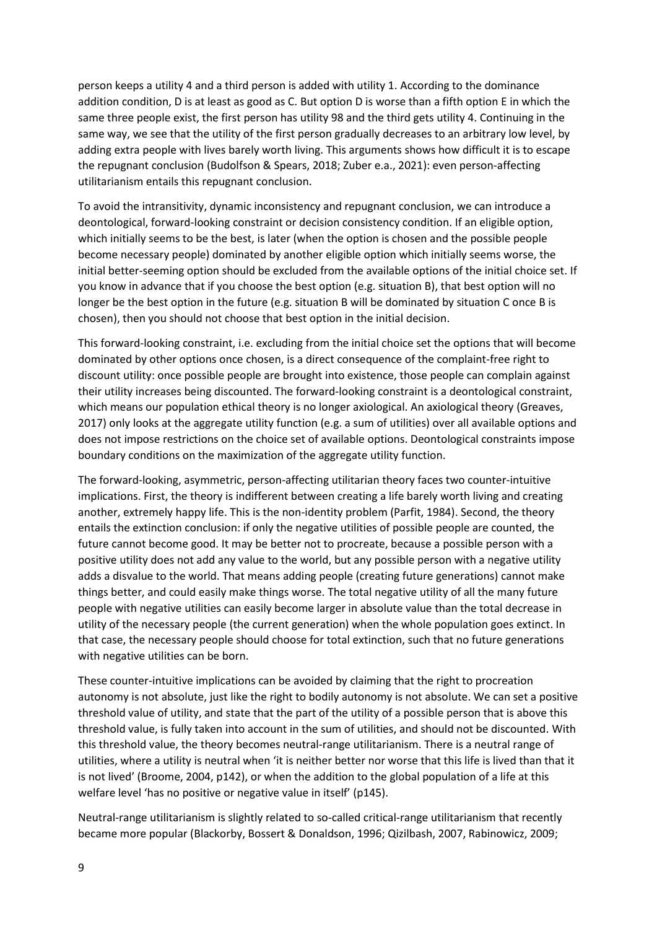person keeps a utility 4 and a third person is added with utility 1. According to the dominance addition condition, D is at least as good as C. But option D is worse than a fifth option E in which the same three people exist, the first person has utility 98 and the third gets utility 4. Continuing in the same way, we see that the utility of the first person gradually decreases to an arbitrary low level, by adding extra people with lives barely worth living. This arguments shows how difficult it is to escape the repugnant conclusion (Budolfson & Spears, 2018; Zuber e.a., 2021): even person-affecting utilitarianism entails this repugnant conclusion.

To avoid the intransitivity, dynamic inconsistency and repugnant conclusion, we can introduce a deontological, forward-looking constraint or decision consistency condition. If an eligible option, which initially seems to be the best, is later (when the option is chosen and the possible people become necessary people) dominated by another eligible option which initially seems worse, the initial better-seeming option should be excluded from the available options of the initial choice set. If you know in advance that if you choose the best option (e.g. situation B), that best option will no longer be the best option in the future (e.g. situation B will be dominated by situation C once B is chosen), then you should not choose that best option in the initial decision.

This forward-looking constraint, i.e. excluding from the initial choice set the options that will become dominated by other options once chosen, is a direct consequence of the complaint-free right to discount utility: once possible people are brought into existence, those people can complain against their utility increases being discounted. The forward-looking constraint is a deontological constraint, which means our population ethical theory is no longer axiological. An axiological theory (Greaves, 2017) only looks at the aggregate utility function (e.g. a sum of utilities) over all available options and does not impose restrictions on the choice set of available options. Deontological constraints impose boundary conditions on the maximization of the aggregate utility function.

The forward-looking, asymmetric, person-affecting utilitarian theory faces two counter-intuitive implications. First, the theory is indifferent between creating a life barely worth living and creating another, extremely happy life. This is the non-identity problem (Parfit, 1984). Second, the theory entails the extinction conclusion: if only the negative utilities of possible people are counted, the future cannot become good. It may be better not to procreate, because a possible person with a positive utility does not add any value to the world, but any possible person with a negative utility adds a disvalue to the world. That means adding people (creating future generations) cannot make things better, and could easily make things worse. The total negative utility of all the many future people with negative utilities can easily become larger in absolute value than the total decrease in utility of the necessary people (the current generation) when the whole population goes extinct. In that case, the necessary people should choose for total extinction, such that no future generations with negative utilities can be born.

These counter-intuitive implications can be avoided by claiming that the right to procreation autonomy is not absolute, just like the right to bodily autonomy is not absolute. We can set a positive threshold value of utility, and state that the part of the utility of a possible person that is above this threshold value, is fully taken into account in the sum of utilities, and should not be discounted. With this threshold value, the theory becomes neutral-range utilitarianism. There is a neutral range of utilities, where a utility is neutral when 'it is neither better nor worse that this life is lived than that it is not lived' (Broome, 2004, p142), or when the addition to the global population of a life at this welfare level 'has no positive or negative value in itself' (p145).

Neutral-range utilitarianism is slightly related to so-called critical-range utilitarianism that recently became more popular (Blackorby, Bossert & Donaldson, 1996; Qizilbash, 2007, Rabinowicz, 2009;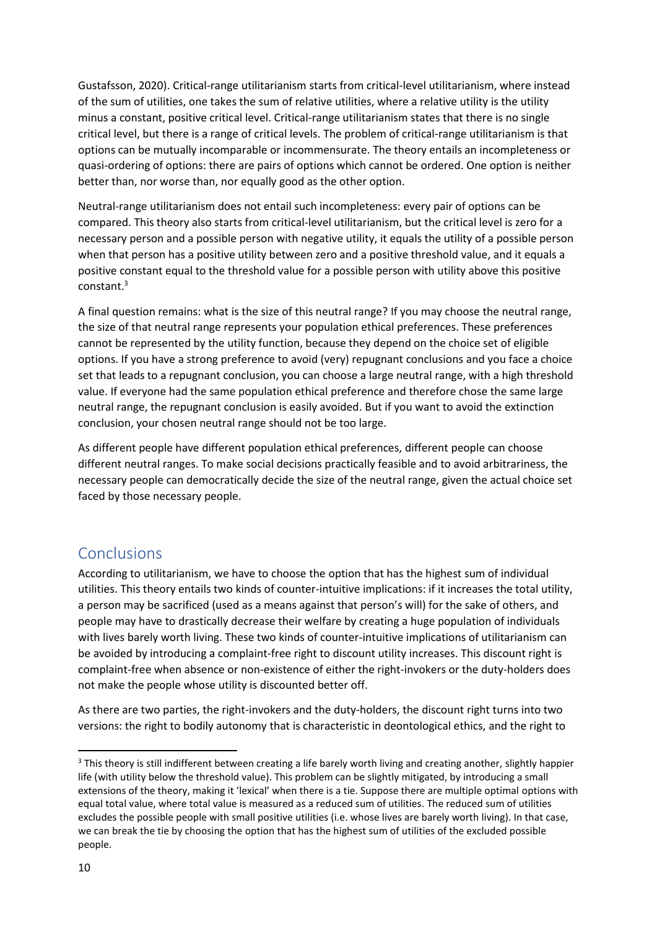Gustafsson, 2020). Critical-range utilitarianism starts from critical-level utilitarianism, where instead of the sum of utilities, one takes the sum of relative utilities, where a relative utility is the utility minus a constant, positive critical level. Critical-range utilitarianism states that there is no single critical level, but there is a range of critical levels. The problem of critical-range utilitarianism is that options can be mutually incomparable or incommensurate. The theory entails an incompleteness or quasi-ordering of options: there are pairs of options which cannot be ordered. One option is neither better than, nor worse than, nor equally good as the other option.

Neutral-range utilitarianism does not entail such incompleteness: every pair of options can be compared. This theory also starts from critical-level utilitarianism, but the critical level is zero for a necessary person and a possible person with negative utility, it equals the utility of a possible person when that person has a positive utility between zero and a positive threshold value, and it equals a positive constant equal to the threshold value for a possible person with utility above this positive constant.<sup>3</sup>

A final question remains: what is the size of this neutral range? If you may choose the neutral range, the size of that neutral range represents your population ethical preferences. These preferences cannot be represented by the utility function, because they depend on the choice set of eligible options. If you have a strong preference to avoid (very) repugnant conclusions and you face a choice set that leads to a repugnant conclusion, you can choose a large neutral range, with a high threshold value. If everyone had the same population ethical preference and therefore chose the same large neutral range, the repugnant conclusion is easily avoided. But if you want to avoid the extinction conclusion, your chosen neutral range should not be too large.

As different people have different population ethical preferences, different people can choose different neutral ranges. To make social decisions practically feasible and to avoid arbitrariness, the necessary people can democratically decide the size of the neutral range, given the actual choice set faced by those necessary people.

#### Conclusions

According to utilitarianism, we have to choose the option that has the highest sum of individual utilities. This theory entails two kinds of counter-intuitive implications: if it increases the total utility, a person may be sacrificed (used as a means against that person's will) for the sake of others, and people may have to drastically decrease their welfare by creating a huge population of individuals with lives barely worth living. These two kinds of counter-intuitive implications of utilitarianism can be avoided by introducing a complaint-free right to discount utility increases. This discount right is complaint-free when absence or non-existence of either the right-invokers or the duty-holders does not make the people whose utility is discounted better off.

As there are two parties, the right-invokers and the duty-holders, the discount right turns into two versions: the right to bodily autonomy that is characteristic in deontological ethics, and the right to

<sup>&</sup>lt;sup>3</sup> This theory is still indifferent between creating a life barely worth living and creating another, slightly happier life (with utility below the threshold value). This problem can be slightly mitigated, by introducing a small extensions of the theory, making it 'lexical' when there is a tie. Suppose there are multiple optimal options with equal total value, where total value is measured as a reduced sum of utilities. The reduced sum of utilities excludes the possible people with small positive utilities (i.e. whose lives are barely worth living). In that case, we can break the tie by choosing the option that has the highest sum of utilities of the excluded possible people.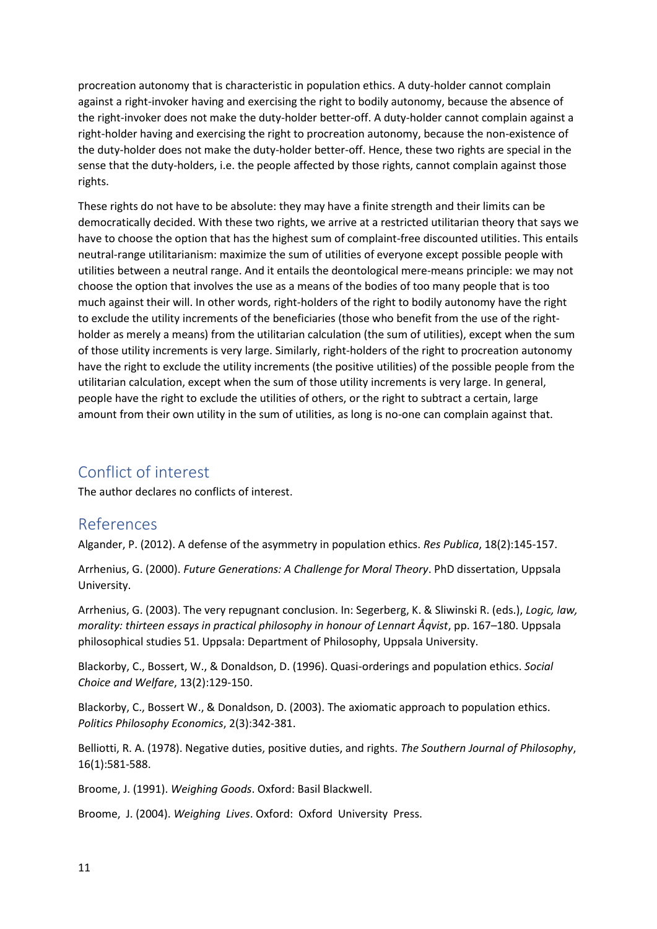procreation autonomy that is characteristic in population ethics. A duty-holder cannot complain against a right-invoker having and exercising the right to bodily autonomy, because the absence of the right-invoker does not make the duty-holder better-off. A duty-holder cannot complain against a right-holder having and exercising the right to procreation autonomy, because the non-existence of the duty-holder does not make the duty-holder better-off. Hence, these two rights are special in the sense that the duty-holders, i.e. the people affected by those rights, cannot complain against those rights.

These rights do not have to be absolute: they may have a finite strength and their limits can be democratically decided. With these two rights, we arrive at a restricted utilitarian theory that says we have to choose the option that has the highest sum of complaint-free discounted utilities. This entails neutral-range utilitarianism: maximize the sum of utilities of everyone except possible people with utilities between a neutral range. And it entails the deontological mere-means principle: we may not choose the option that involves the use as a means of the bodies of too many people that is too much against their will. In other words, right-holders of the right to bodily autonomy have the right to exclude the utility increments of the beneficiaries (those who benefit from the use of the rightholder as merely a means) from the utilitarian calculation (the sum of utilities), except when the sum of those utility increments is very large. Similarly, right-holders of the right to procreation autonomy have the right to exclude the utility increments (the positive utilities) of the possible people from the utilitarian calculation, except when the sum of those utility increments is very large. In general, people have the right to exclude the utilities of others, or the right to subtract a certain, large amount from their own utility in the sum of utilities, as long is no-one can complain against that.

## Conflict of interest

The author declares no conflicts of interest.

### References

Algander, P. (2012). A defense of the asymmetry in population ethics. *Res Publica*, 18(2):145-157.

Arrhenius, G. (2000). *Future Generations: A Challenge for Moral Theory*. PhD dissertation, Uppsala University.

Arrhenius, G. (2003). The very repugnant conclusion. In: Segerberg, K. & Sliwinski R. (eds.), *Logic, law, morality: thirteen essays in practical philosophy in honour of Lennart Åqvist*, pp. 167–180. Uppsala philosophical studies 51. Uppsala: Department of Philosophy, Uppsala University.

Blackorby, C., Bossert, W., & Donaldson, D. (1996). Quasi-orderings and population ethics. *Social Choice and Welfare*, 13(2):129-150.

Blackorby, C., Bossert W., & Donaldson, D. (2003). The axiomatic approach to population ethics. *Politics Philosophy Economics*, 2(3):342-381.

Belliotti, R. A. (1978). Negative duties, positive duties, and rights. *The Southern Journal of Philosophy*, 16(1):581-588.

Broome, J. (1991). *Weighing Goods*. Oxford: Basil Blackwell.

Broome, J. (2004). *Weighing Lives*. Oxford: Oxford University Press.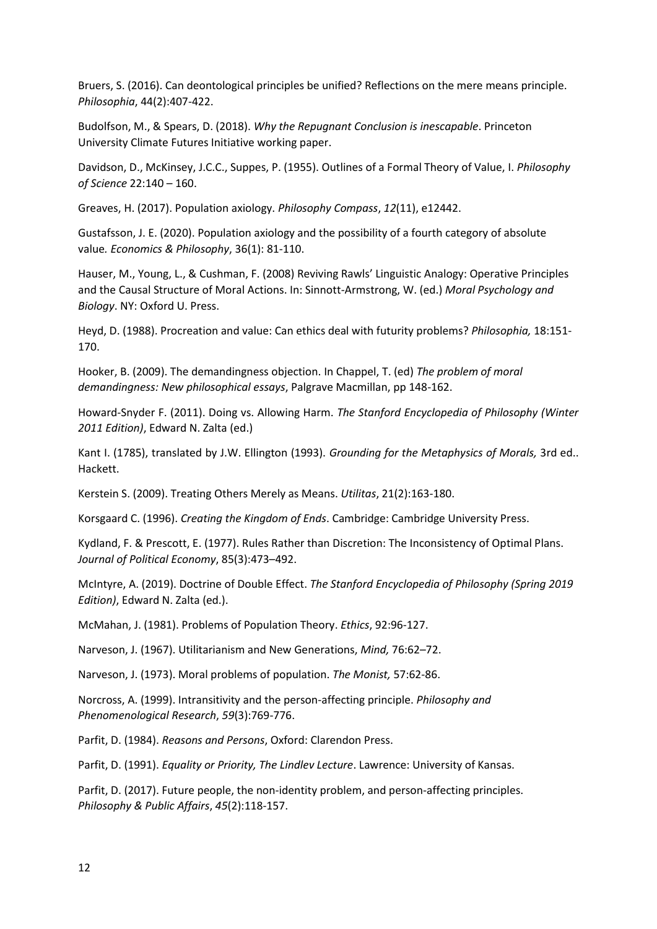Bruers, S. (2016). Can deontological principles be unified? Reflections on the mere means principle. *Philosophia*, 44(2):407-422.

Budolfson, M., & Spears, D. (2018). *Why the Repugnant Conclusion is inescapable*. Princeton University Climate Futures Initiative working paper.

Davidson, D., McKinsey, J.C.C., Suppes, P. (1955). Outlines of a Formal Theory of Value, I. *Philosophy of Science* 22:140 – 160.

Greaves, H. (2017). Population axiology. *Philosophy Compass*, *12*(11), e12442.

Gustafsson, J. E. (2020). Population axiology and the possibility of a fourth category of absolute value*. Economics & Philosophy*, 36(1): 81-110.

Hauser, M., Young, L., & Cushman, F. (2008) Reviving Rawls' Linguistic Analogy: Operative Principles and the Causal Structure of Moral Actions. In: Sinnott-Armstrong, W. (ed.) *Moral Psychology and Biology*. NY: Oxford U. Press.

Heyd, D. (1988). Procreation and value: Can ethics deal with futurity problems? *Philosophia,* 18:151- 170.

Hooker, B. (2009). The demandingness objection. In Chappel, T. (ed) *The problem of moral demandingness: New philosophical essays*, Palgrave Macmillan, pp 148-162.

Howard-Snyder F. (2011). Doing vs. Allowing Harm. *The Stanford Encyclopedia of Philosophy (Winter 2011 Edition)*, Edward N. Zalta (ed.)

Kant I. (1785), translated by J.W. Ellington (1993). *Grounding for the Metaphysics of Morals,* 3rd ed.. Hackett.

Kerstein S. (2009). Treating Others Merely as Means. *Utilitas*, 21(2):163-180.

Korsgaard C. (1996). *Creating the Kingdom of Ends*. Cambridge: Cambridge University Press.

Kydland, F. & Prescott, E. (1977). Rules Rather than Discretion: The Inconsistency of Optimal Plans. *Journal of Political Economy*, 85(3):473–492.

McIntyre, A. (2019). Doctrine of Double Effect. *The Stanford Encyclopedia of Philosophy (Spring 2019 Edition)*, Edward N. Zalta (ed.).

McMahan, J. (1981). Problems of Population Theory. *Ethics*, 92:96-127.

Narveson, J. (1967). Utilitarianism and New Generations, *Mind,* 76:62–72.

Narveson, J. (1973). Moral problems of population. *The Monist,* 57:62-86.

Norcross, A. (1999). Intransitivity and the person-affecting principle. *Philosophy and Phenomenological Research*, *59*(3):769-776.

Parfit, D. (1984). *Reasons and Persons*, Oxford: Clarendon Press.

Parfit, D. (1991). *Equality or Priority, The Lindlev Lecture*. Lawrence: University of Kansas.

Parfit, D. (2017). Future people, the non-identity problem, and person-affecting principles. *Philosophy & Public Affairs*, *45*(2):118-157.